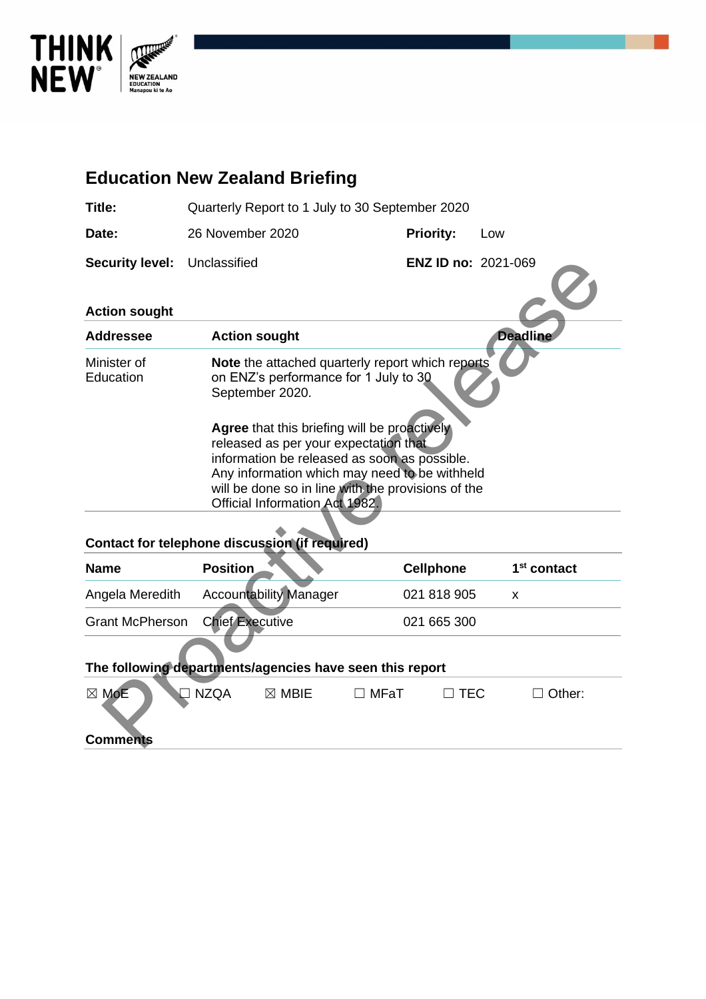

# **Education New Zealand Briefing Title:** Quarterly Report to 1 July to 30 September 2020 Date: 26 November 2020 **Priority:** Low **Security level:** Unclassified **ENZ ID no:** 2021-069 **Action sought Addressee Action sought Deadline** Minister of **Education Note** the attached quarterly report which reports on ENZ's performance for 1 July to 30 September 2020. **Agree** that this briefing will be proactively released as per your expectation that information be released as soon as possible. Any information which may need to be withheld will be done so in line with the provisions of the Official Information Act 1982. Control in the matter of the anticometer of the matter of the anticometer of the anticometer of the anticometer of the anticometer of the anticometer of the anticometer of the anticometer of the method in the sense of the

#### **Contact for telephone discussion (if required)**

| <b>Name</b>            | <b>Position</b>               | <b>Cellphone</b> | 1 <sup>st</sup> contact |
|------------------------|-------------------------------|------------------|-------------------------|
| Angela Meredith        | <b>Accountability Manager</b> | 021 818 905      |                         |
| <b>Grant McPherson</b> | <b>Chief Executive</b>        | 021 665 300      |                         |

#### **The following departments/agencies have seen this report**

| $\boxtimes$ MoE | ' NZQA<br>$\boxtimes$ MBIE | MFaT | <b>TEC</b> | <sup>1</sup> Other: |  |
|-----------------|----------------------------|------|------------|---------------------|--|
| <b>Comments</b> |                            |      |            |                     |  |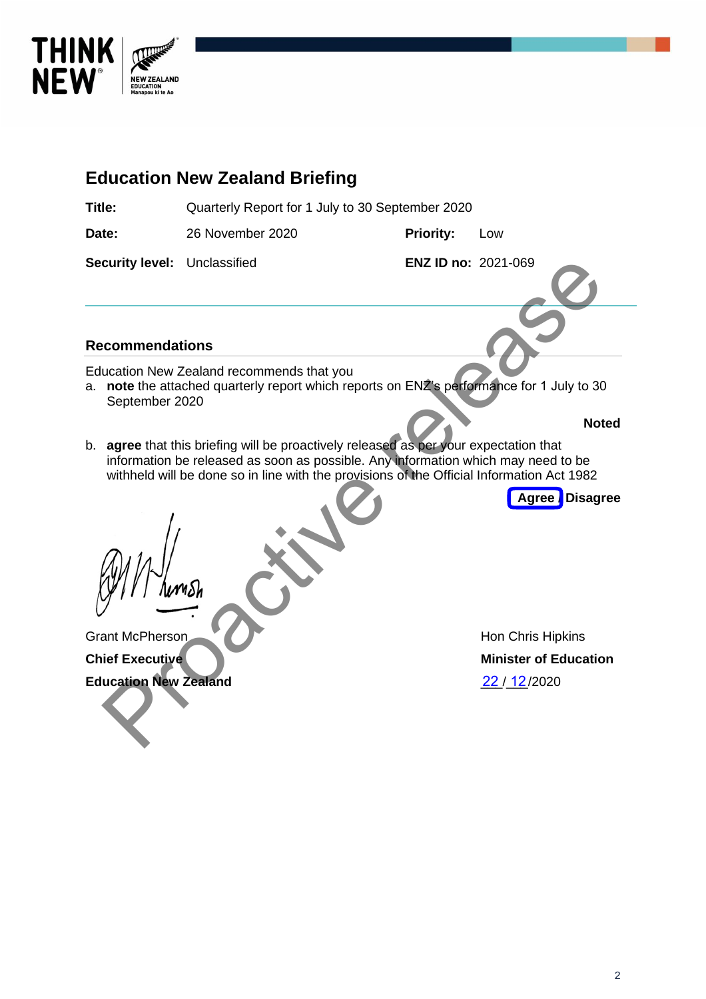